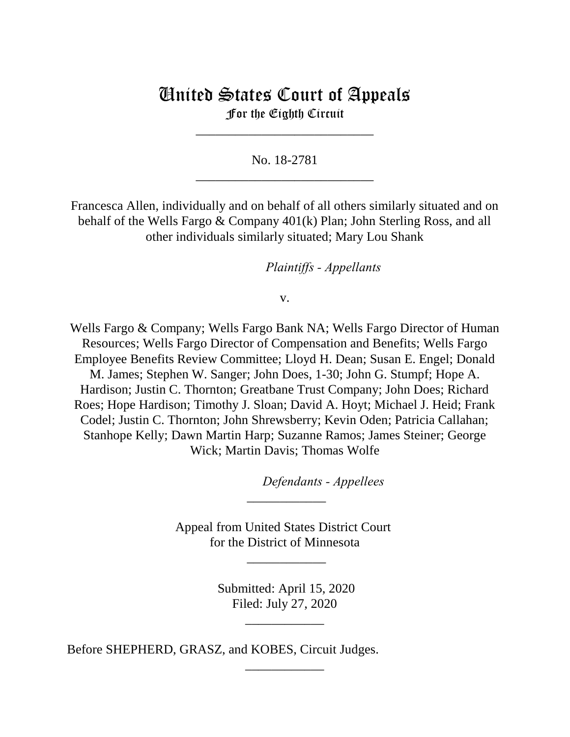# United States Court of Appeals For the Eighth Circuit

\_\_\_\_\_\_\_\_\_\_\_\_\_\_\_\_\_\_\_\_\_\_\_\_\_\_\_

No. 18-2781 \_\_\_\_\_\_\_\_\_\_\_\_\_\_\_\_\_\_\_\_\_\_\_\_\_\_\_

Francesca Allen, individually and on behalf of all others similarly situated and on behalf of the Wells Fargo & Company 401(k) Plan; John Sterling Ross, and all other individuals similarly situated; Mary Lou Shank

*Plaintiffs - Appellants* 

v.

Wells Fargo & Company; Wells Fargo Bank NA; Wells Fargo Director of Human Resources; Wells Fargo Director of Compensation and Benefits; Wells Fargo Employee Benefits Review Committee; Lloyd H. Dean; Susan E. Engel; Donald M. James; Stephen W. Sanger; John Does, 1-30; John G. Stumpf; Hope A. Hardison; Justin C. Thornton; Greatbane Trust Company; John Does; Richard Roes; Hope Hardison; Timothy J. Sloan; David A. Hoyt; Michael J. Heid; Frank Codel; Justin C. Thornton; John Shrewsberry; Kevin Oden; Patricia Callahan; Stanhope Kelly; Dawn Martin Harp; Suzanne Ramos; James Steiner; George Wick; Martin Davis; Thomas Wolfe

lllllllllllllllllllll*Defendants - Appellees*

Appeal from United States District Court for the District of Minnesota

\_\_\_\_\_\_\_\_\_\_\_\_

 $\overline{\phantom{a}}$ 

 Submitted: April 15, 2020 Filed: July 27, 2020

\_\_\_\_\_\_\_\_\_\_\_\_

\_\_\_\_\_\_\_\_\_\_\_\_

Before SHEPHERD, GRASZ, and KOBES, Circuit Judges.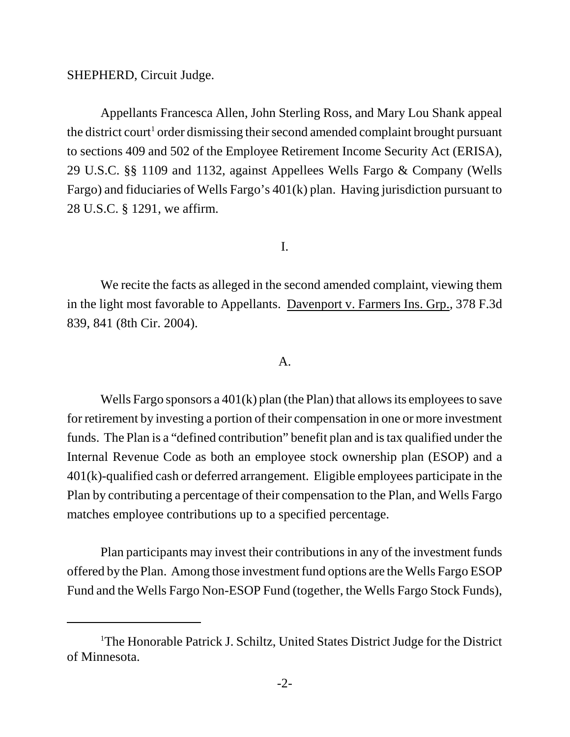SHEPHERD, Circuit Judge.

Appellants Francesca Allen, John Sterling Ross, and Mary Lou Shank appeal the district court<sup>1</sup> order dismissing their second amended complaint brought pursuant to sections 409 and 502 of the Employee Retirement Income Security Act (ERISA), 29 U.S.C. §§ 1109 and 1132, against Appellees Wells Fargo & Company (Wells Fargo) and fiduciaries of Wells Fargo's 401(k) plan. Having jurisdiction pursuant to 28 U.S.C. § 1291, we affirm.

I.

We recite the facts as alleged in the second amended complaint, viewing them in the light most favorable to Appellants. Davenport v. Farmers Ins. Grp., 378 F.3d 839, 841 (8th Cir. 2004).

#### A.

Wells Fargo sponsors a 401(k) plan (the Plan) that allows its employees to save for retirement by investing a portion of their compensation in one or more investment funds. The Plan is a "defined contribution" benefit plan and is tax qualified under the Internal Revenue Code as both an employee stock ownership plan (ESOP) and a 401(k)-qualified cash or deferred arrangement. Eligible employees participate in the Plan by contributing a percentage of their compensation to the Plan, and Wells Fargo matches employee contributions up to a specified percentage.

Plan participants may invest their contributions in any of the investment funds offered by the Plan. Among those investment fund options are the Wells Fargo ESOP Fund and the Wells Fargo Non-ESOP Fund (together, the Wells Fargo Stock Funds),

<sup>&</sup>lt;sup>1</sup>The Honorable Patrick J. Schiltz, United States District Judge for the District of Minnesota.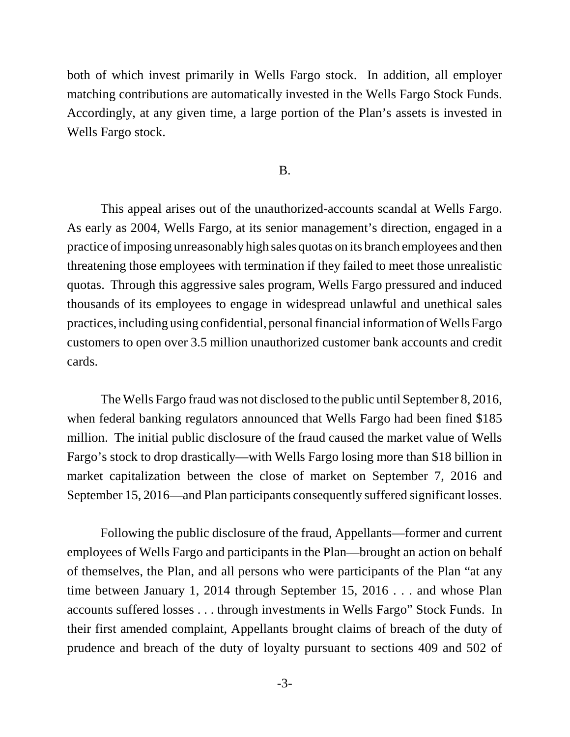both of which invest primarily in Wells Fargo stock. In addition, all employer matching contributions are automatically invested in the Wells Fargo Stock Funds. Accordingly, at any given time, a large portion of the Plan's assets is invested in Wells Fargo stock.

#### B.

This appeal arises out of the unauthorized-accounts scandal at Wells Fargo. As early as 2004, Wells Fargo, at its senior management's direction, engaged in a practice of imposing unreasonably high sales quotas on its branch employees and then threatening those employees with termination if they failed to meet those unrealistic quotas. Through this aggressive sales program, Wells Fargo pressured and induced thousands of its employees to engage in widespread unlawful and unethical sales practices, including using confidential, personal financial information of Wells Fargo customers to open over 3.5 million unauthorized customer bank accounts and credit cards.

The Wells Fargo fraud was not disclosed to the public until September 8, 2016, when federal banking regulators announced that Wells Fargo had been fined \$185 million. The initial public disclosure of the fraud caused the market value of Wells Fargo's stock to drop drastically—with Wells Fargo losing more than \$18 billion in market capitalization between the close of market on September 7, 2016 and September 15, 2016—and Plan participants consequently suffered significant losses.

Following the public disclosure of the fraud, Appellants—former and current employees of Wells Fargo and participants in the Plan—brought an action on behalf of themselves, the Plan, and all persons who were participants of the Plan "at any time between January 1, 2014 through September 15, 2016 . . . and whose Plan accounts suffered losses . . . through investments in Wells Fargo" Stock Funds. In their first amended complaint, Appellants brought claims of breach of the duty of prudence and breach of the duty of loyalty pursuant to sections 409 and 502 of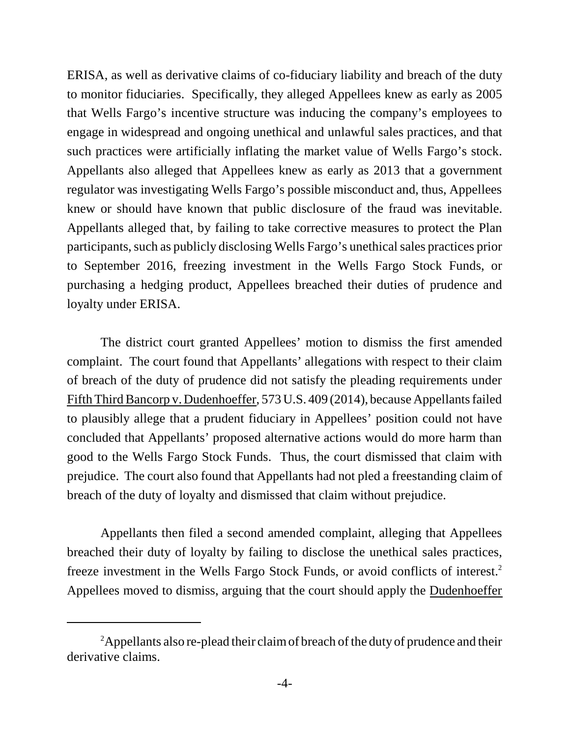ERISA, as well as derivative claims of co-fiduciary liability and breach of the duty to monitor fiduciaries. Specifically, they alleged Appellees knew as early as 2005 that Wells Fargo's incentive structure was inducing the company's employees to engage in widespread and ongoing unethical and unlawful sales practices, and that such practices were artificially inflating the market value of Wells Fargo's stock. Appellants also alleged that Appellees knew as early as 2013 that a government regulator was investigating Wells Fargo's possible misconduct and, thus, Appellees knew or should have known that public disclosure of the fraud was inevitable. Appellants alleged that, by failing to take corrective measures to protect the Plan participants, such as publicly disclosing Wells Fargo's unethical sales practices prior to September 2016, freezing investment in the Wells Fargo Stock Funds, or purchasing a hedging product, Appellees breached their duties of prudence and loyalty under ERISA.

The district court granted Appellees' motion to dismiss the first amended complaint. The court found that Appellants' allegations with respect to their claim of breach of the duty of prudence did not satisfy the pleading requirements under Fifth Third Bancorp v. Dudenhoeffer, 573 U.S. 409 (2014), because Appellants failed to plausibly allege that a prudent fiduciary in Appellees' position could not have concluded that Appellants' proposed alternative actions would do more harm than good to the Wells Fargo Stock Funds. Thus, the court dismissed that claim with prejudice. The court also found that Appellants had not pled a freestanding claim of breach of the duty of loyalty and dismissed that claim without prejudice.

Appellants then filed a second amended complaint, alleging that Appellees breached their duty of loyalty by failing to disclose the unethical sales practices, freeze investment in the Wells Fargo Stock Funds, or avoid conflicts of interest.<sup>2</sup> Appellees moved to dismiss, arguing that the court should apply the Dudenhoeffer

<sup>&</sup>lt;sup>2</sup>Appellants also re-plead their claim of breach of the duty of prudence and their derivative claims.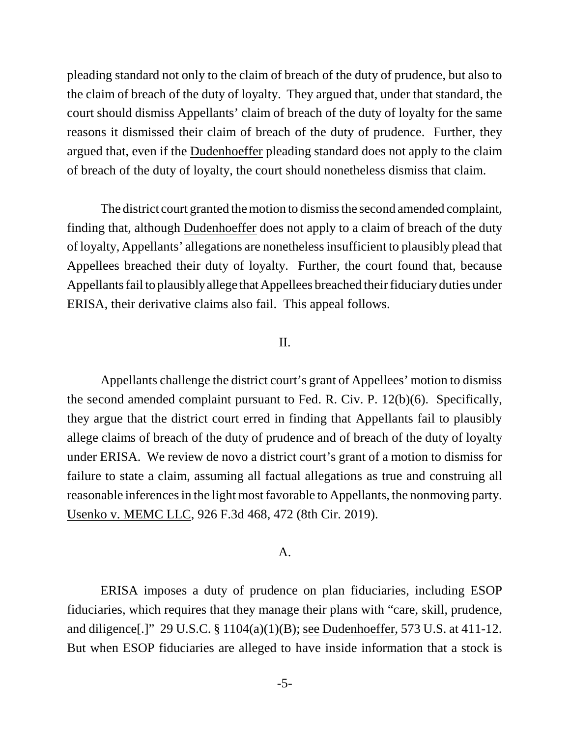pleading standard not only to the claim of breach of the duty of prudence, but also to the claim of breach of the duty of loyalty. They argued that, under that standard, the court should dismiss Appellants' claim of breach of the duty of loyalty for the same reasons it dismissed their claim of breach of the duty of prudence. Further, they argued that, even if the Dudenhoeffer pleading standard does not apply to the claim of breach of the duty of loyalty, the court should nonetheless dismiss that claim.

The district court granted the motion to dismiss the second amended complaint, finding that, although Dudenhoeffer does not apply to a claim of breach of the duty of loyalty, Appellants' allegations are nonetheless insufficient to plausibly plead that Appellees breached their duty of loyalty. Further, the court found that, because Appellants fail to plausibly allege that Appellees breached their fiduciary duties under ERISA, their derivative claims also fail. This appeal follows.

#### II.

Appellants challenge the district court's grant of Appellees' motion to dismiss the second amended complaint pursuant to Fed. R. Civ. P. 12(b)(6). Specifically, they argue that the district court erred in finding that Appellants fail to plausibly allege claims of breach of the duty of prudence and of breach of the duty of loyalty under ERISA. We review de novo a district court's grant of a motion to dismiss for failure to state a claim, assuming all factual allegations as true and construing all reasonable inferences in the light most favorable to Appellants, the nonmoving party. Usenko v. MEMC LLC, 926 F.3d 468, 472 (8th Cir. 2019).

#### A.

ERISA imposes a duty of prudence on plan fiduciaries, including ESOP fiduciaries, which requires that they manage their plans with "care, skill, prudence, and diligence[.]" 29 U.S.C. § 1104(a)(1)(B); see Dudenhoeffer, 573 U.S. at 411-12. But when ESOP fiduciaries are alleged to have inside information that a stock is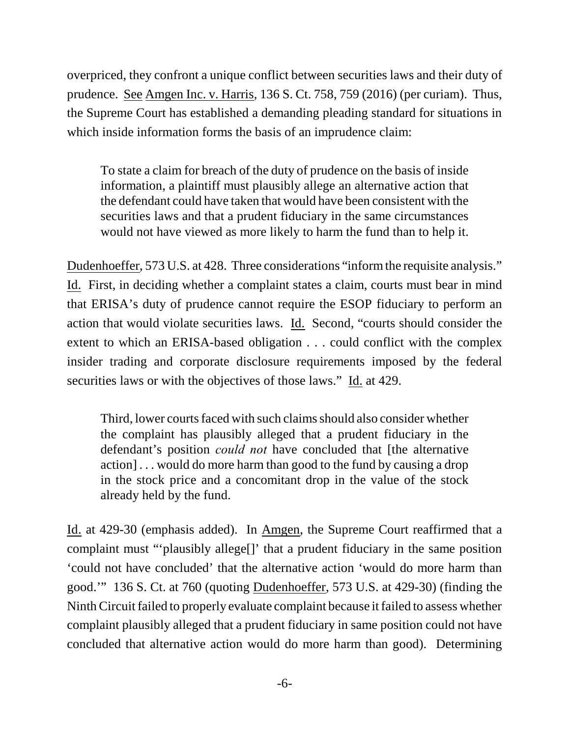overpriced, they confront a unique conflict between securities laws and their duty of prudence. See Amgen Inc. v. Harris, 136 S. Ct. 758, 759 (2016) (per curiam). Thus, the Supreme Court has established a demanding pleading standard for situations in which inside information forms the basis of an imprudence claim:

To state a claim for breach of the duty of prudence on the basis of inside information, a plaintiff must plausibly allege an alternative action that the defendant could have taken that would have been consistent with the securities laws and that a prudent fiduciary in the same circumstances would not have viewed as more likely to harm the fund than to help it.

Dudenhoeffer, 573 U.S. at 428. Three considerations "inform the requisite analysis." Id. First, in deciding whether a complaint states a claim, courts must bear in mind that ERISA's duty of prudence cannot require the ESOP fiduciary to perform an action that would violate securities laws. Id. Second, "courts should consider the extent to which an ERISA-based obligation . . . could conflict with the complex insider trading and corporate disclosure requirements imposed by the federal securities laws or with the objectives of those laws." Id. at 429.

Third, lower courts faced with such claims should also consider whether the complaint has plausibly alleged that a prudent fiduciary in the defendant's position *could not* have concluded that [the alternative action] . . . would do more harm than good to the fund by causing a drop in the stock price and a concomitant drop in the value of the stock already held by the fund.

Id. at 429-30 (emphasis added). In Amgen, the Supreme Court reaffirmed that a complaint must "'plausibly allege[]' that a prudent fiduciary in the same position 'could not have concluded' that the alternative action 'would do more harm than good.'" 136 S. Ct. at 760 (quoting Dudenhoeffer, 573 U.S. at 429-30) (finding the Ninth Circuit failed to properly evaluate complaint because it failed to assess whether complaint plausibly alleged that a prudent fiduciary in same position could not have concluded that alternative action would do more harm than good). Determining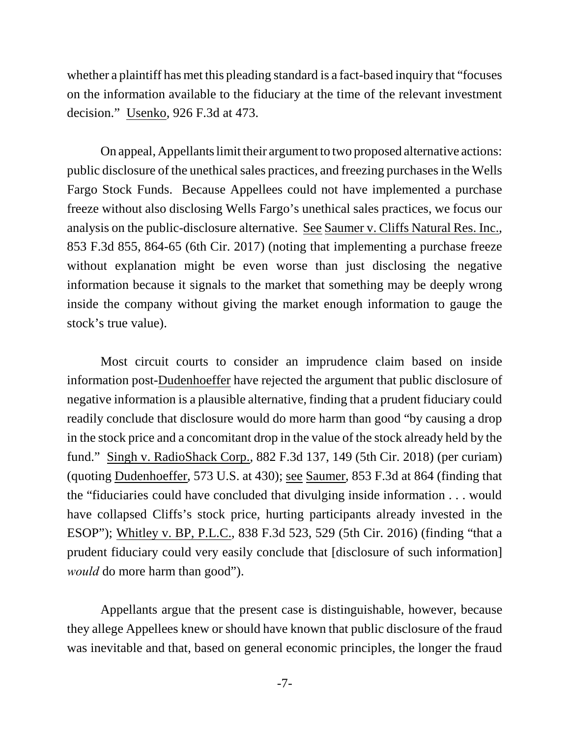whether a plaintiff has met this pleading standard is a fact-based inquiry that "focuses on the information available to the fiduciary at the time of the relevant investment decision." Usenko, 926 F.3d at 473.

On appeal, Appellants limit their argument to two proposed alternative actions: public disclosure of the unethical sales practices, and freezing purchases in the Wells Fargo Stock Funds. Because Appellees could not have implemented a purchase freeze without also disclosing Wells Fargo's unethical sales practices, we focus our analysis on the public-disclosure alternative. See Saumer v. Cliffs Natural Res. Inc., 853 F.3d 855, 864-65 (6th Cir. 2017) (noting that implementing a purchase freeze without explanation might be even worse than just disclosing the negative information because it signals to the market that something may be deeply wrong inside the company without giving the market enough information to gauge the stock's true value).

Most circuit courts to consider an imprudence claim based on inside information post-Dudenhoeffer have rejected the argument that public disclosure of negative information is a plausible alternative, finding that a prudent fiduciary could readily conclude that disclosure would do more harm than good "by causing a drop in the stock price and a concomitant drop in the value of the stock already held by the fund." Singh v. RadioShack Corp., 882 F.3d 137, 149 (5th Cir. 2018) (per curiam) (quoting Dudenhoeffer, 573 U.S. at 430); see Saumer, 853 F.3d at 864 (finding that the "fiduciaries could have concluded that divulging inside information . . . would have collapsed Cliffs's stock price, hurting participants already invested in the ESOP"); Whitley v. BP, P.L.C., 838 F.3d 523, 529 (5th Cir. 2016) (finding "that a prudent fiduciary could very easily conclude that [disclosure of such information] *would* do more harm than good").

Appellants argue that the present case is distinguishable, however, because they allege Appellees knew or should have known that public disclosure of the fraud was inevitable and that, based on general economic principles, the longer the fraud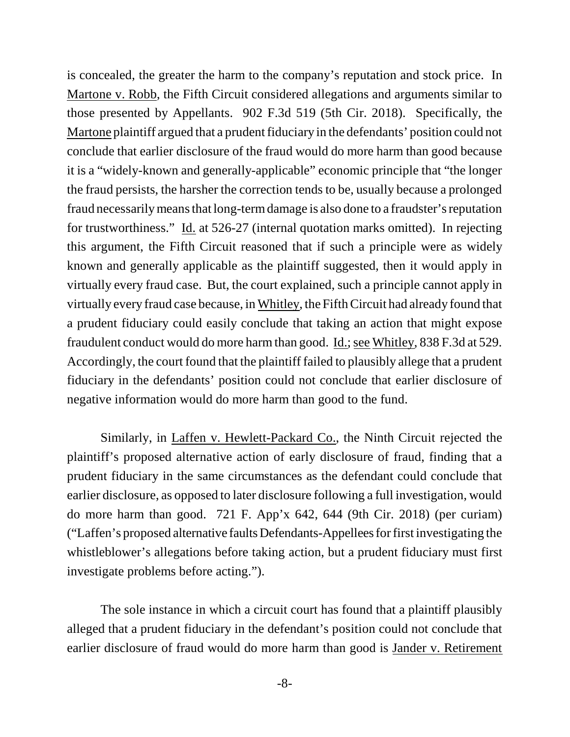is concealed, the greater the harm to the company's reputation and stock price. In Martone v. Robb, the Fifth Circuit considered allegations and arguments similar to those presented by Appellants. 902 F.3d 519 (5th Cir. 2018). Specifically, the Martone plaintiff argued that a prudent fiduciary in the defendants' position could not conclude that earlier disclosure of the fraud would do more harm than good because it is a "widely-known and generally-applicable" economic principle that "the longer the fraud persists, the harsher the correction tends to be, usually because a prolonged fraud necessarily means that long-term damage is also done to a fraudster's reputation for trustworthiness." Id. at 526-27 (internal quotation marks omitted). In rejecting this argument, the Fifth Circuit reasoned that if such a principle were as widely known and generally applicable as the plaintiff suggested, then it would apply in virtually every fraud case. But, the court explained, such a principle cannot apply in virtually every fraud case because, in Whitley, the Fifth Circuit had already found that a prudent fiduciary could easily conclude that taking an action that might expose fraudulent conduct would do more harm than good. Id.; see Whitley, 838 F.3d at 529. Accordingly, the court found that the plaintiff failed to plausibly allege that a prudent fiduciary in the defendants' position could not conclude that earlier disclosure of negative information would do more harm than good to the fund.

Similarly, in Laffen v. Hewlett-Packard Co., the Ninth Circuit rejected the plaintiff's proposed alternative action of early disclosure of fraud, finding that a prudent fiduciary in the same circumstances as the defendant could conclude that earlier disclosure, as opposed to later disclosure following a full investigation, would do more harm than good. 721 F. App'x 642, 644 (9th Cir. 2018) (per curiam) ("Laffen's proposed alternative faults Defendants-Appellees for first investigating the whistleblower's allegations before taking action, but a prudent fiduciary must first investigate problems before acting.").

The sole instance in which a circuit court has found that a plaintiff plausibly alleged that a prudent fiduciary in the defendant's position could not conclude that earlier disclosure of fraud would do more harm than good is Jander v. Retirement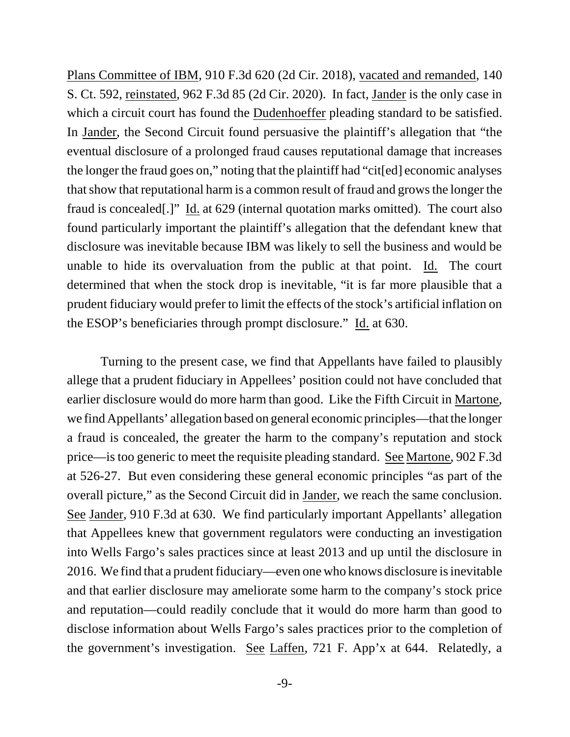Plans Committee of IBM, 910 F.3d 620 (2d Cir. 2018), vacated and remanded, 140 S. Ct. 592, reinstated, 962 F.3d 85 (2d Cir. 2020). In fact, Jander is the only case in which a circuit court has found the Dudenhoeffer pleading standard to be satisfied. In Jander, the Second Circuit found persuasive the plaintiff's allegation that "the eventual disclosure of a prolonged fraud causes reputational damage that increases the longer the fraud goes on," noting that the plaintiff had "cit[ed] economic analyses that show that reputational harm is a common result of fraud and grows the longer the fraud is concealed[.]" Id. at 629 (internal quotation marks omitted). The court also found particularly important the plaintiff's allegation that the defendant knew that disclosure was inevitable because IBM was likely to sell the business and would be unable to hide its overvaluation from the public at that point. Id. The court determined that when the stock drop is inevitable, "it is far more plausible that a prudent fiduciary would prefer to limit the effects of the stock's artificial inflation on the ESOP's beneficiaries through prompt disclosure." Id. at 630.

Turning to the present case, we find that Appellants have failed to plausibly allege that a prudent fiduciary in Appellees' position could not have concluded that earlier disclosure would do more harm than good. Like the Fifth Circuit in Martone, we find Appellants' allegation based on general economic principles—that the longer a fraud is concealed, the greater the harm to the company's reputation and stock price—is too generic to meet the requisite pleading standard. See Martone, 902 F.3d at 526-27. But even considering these general economic principles "as part of the overall picture," as the Second Circuit did in Jander, we reach the same conclusion. See Jander, 910 F.3d at 630. We find particularly important Appellants' allegation that Appellees knew that government regulators were conducting an investigation into Wells Fargo's sales practices since at least 2013 and up until the disclosure in 2016. We find that a prudent fiduciary—even one who knows disclosure is inevitable and that earlier disclosure may ameliorate some harm to the company's stock price and reputation—could readily conclude that it would do more harm than good to disclose information about Wells Fargo's sales practices prior to the completion of the government's investigation. See Laffen, 721 F. App'x at 644. Relatedly, a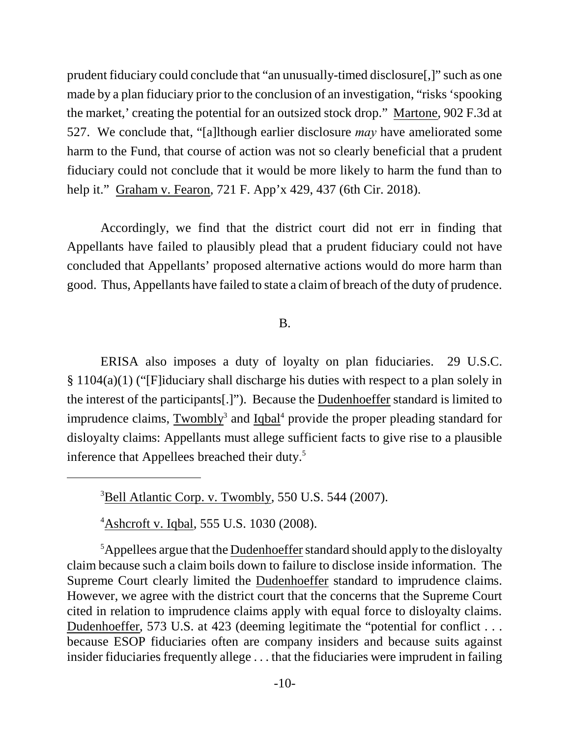prudent fiduciary could conclude that "an unusually-timed disclosure[,]" such as one made by a plan fiduciary prior to the conclusion of an investigation, "risks 'spooking the market,' creating the potential for an outsized stock drop." Martone, 902 F.3d at 527. We conclude that, "[a]lthough earlier disclosure *may* have ameliorated some harm to the Fund, that course of action was not so clearly beneficial that a prudent fiduciary could not conclude that it would be more likely to harm the fund than to help it." Graham v. Fearon, 721 F. App'x 429, 437 (6th Cir. 2018).

Accordingly, we find that the district court did not err in finding that Appellants have failed to plausibly plead that a prudent fiduciary could not have concluded that Appellants' proposed alternative actions would do more harm than good. Thus, Appellants have failed to state a claim of breach of the duty of prudence.

### B.

ERISA also imposes a duty of loyalty on plan fiduciaries. 29 U.S.C. § 1104(a)(1) ("[F]iduciary shall discharge his duties with respect to a plan solely in the interest of the participants[.]"). Because the Dudenhoeffer standard is limited to imprudence claims, **Twombly**<sup>3</sup> and **Iqbal**<sup>4</sup> provide the proper pleading standard for disloyalty claims: Appellants must allege sufficient facts to give rise to a plausible inference that Appellees breached their duty.<sup>5</sup>

 $3$ Bell Atlantic Corp. v. Twombly, 550 U.S. 544 (2007).

<sup>4</sup>Ashcroft v. Iqbal, 555 U.S. 1030 (2008).

 $5$ Appellees argue that the Dudenhoeffer standard should apply to the disloyalty claim because such a claim boils down to failure to disclose inside information. The Supreme Court clearly limited the Dudenhoeffer standard to imprudence claims. However, we agree with the district court that the concerns that the Supreme Court cited in relation to imprudence claims apply with equal force to disloyalty claims. Dudenhoeffer, 573 U.S. at 423 (deeming legitimate the "potential for conflict . . . because ESOP fiduciaries often are company insiders and because suits against insider fiduciaries frequently allege . . . that the fiduciaries were imprudent in failing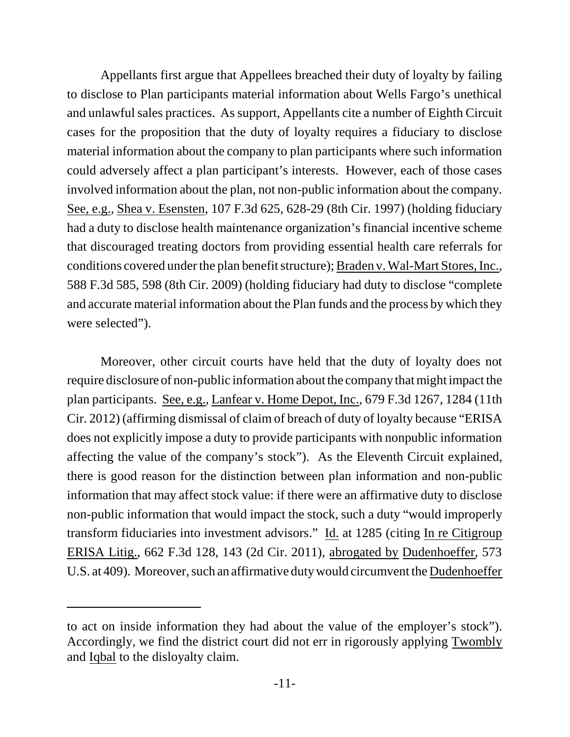Appellants first argue that Appellees breached their duty of loyalty by failing to disclose to Plan participants material information about Wells Fargo's unethical and unlawful sales practices. As support, Appellants cite a number of Eighth Circuit cases for the proposition that the duty of loyalty requires a fiduciary to disclose material information about the company to plan participants where such information could adversely affect a plan participant's interests. However, each of those cases involved information about the plan, not non-public information about the company. See, e.g., Shea v. Esensten, 107 F.3d 625, 628-29 (8th Cir. 1997) (holding fiduciary had a duty to disclose health maintenance organization's financial incentive scheme that discouraged treating doctors from providing essential health care referrals for conditions covered under the plan benefit structure); Braden v. Wal-Mart Stores, Inc., 588 F.3d 585, 598 (8th Cir. 2009) (holding fiduciary had duty to disclose "complete and accurate material information about the Plan funds and the process by which they were selected").

Moreover, other circuit courts have held that the duty of loyalty does not require disclosure of non-public information about the company that might impact the plan participants. See, e.g., Lanfear v. Home Depot, Inc., 679 F.3d 1267, 1284 (11th Cir. 2012) (affirming dismissal of claim of breach of duty of loyalty because "ERISA does not explicitly impose a duty to provide participants with nonpublic information affecting the value of the company's stock"). As the Eleventh Circuit explained, there is good reason for the distinction between plan information and non-public information that may affect stock value: if there were an affirmative duty to disclose non-public information that would impact the stock, such a duty "would improperly transform fiduciaries into investment advisors." Id. at 1285 (citing In re Citigroup ERISA Litig., 662 F.3d 128, 143 (2d Cir. 2011), abrogated by Dudenhoeffer, 573 U.S. at 409). Moreover, such an affirmative duty would circumvent the Dudenhoeffer

to act on inside information they had about the value of the employer's stock"). Accordingly, we find the district court did not err in rigorously applying Twombly and Iqbal to the disloyalty claim.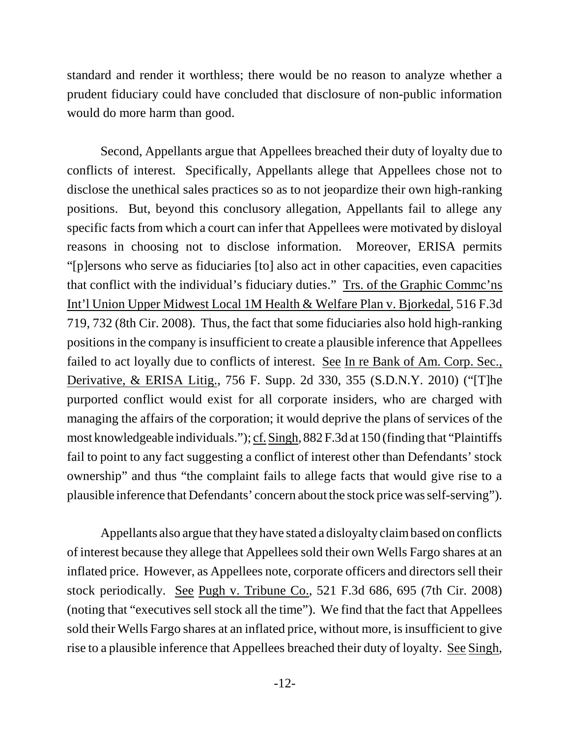standard and render it worthless; there would be no reason to analyze whether a prudent fiduciary could have concluded that disclosure of non-public information would do more harm than good.

Second, Appellants argue that Appellees breached their duty of loyalty due to conflicts of interest. Specifically, Appellants allege that Appellees chose not to disclose the unethical sales practices so as to not jeopardize their own high-ranking positions. But, beyond this conclusory allegation, Appellants fail to allege any specific facts from which a court can infer that Appellees were motivated by disloyal reasons in choosing not to disclose information. Moreover, ERISA permits "[p]ersons who serve as fiduciaries [to] also act in other capacities, even capacities that conflict with the individual's fiduciary duties." Trs. of the Graphic Commc'ns Int'l Union Upper Midwest Local 1M Health & Welfare Plan v. Bjorkedal, 516 F.3d 719, 732 (8th Cir. 2008). Thus, the fact that some fiduciaries also hold high-ranking positions in the company is insufficient to create a plausible inference that Appellees failed to act loyally due to conflicts of interest. See In re Bank of Am. Corp. Sec., Derivative, & ERISA Litig., 756 F. Supp. 2d 330, 355 (S.D.N.Y. 2010) ("[T]he purported conflict would exist for all corporate insiders, who are charged with managing the affairs of the corporation; it would deprive the plans of services of the most knowledgeable individuals."); cf. Singh, 882 F.3d at 150 (finding that "Plaintiffs fail to point to any fact suggesting a conflict of interest other than Defendants' stock ownership" and thus "the complaint fails to allege facts that would give rise to a plausible inference that Defendants' concern about the stock price was self-serving").

Appellants also argue that they have stated a disloyalty claim based on conflicts of interest because they allege that Appellees sold their own Wells Fargo shares at an inflated price. However, as Appellees note, corporate officers and directors sell their stock periodically. See Pugh v. Tribune Co., 521 F.3d 686, 695 (7th Cir. 2008) (noting that "executives sell stock all the time"). We find that the fact that Appellees sold their Wells Fargo shares at an inflated price, without more, is insufficient to give rise to a plausible inference that Appellees breached their duty of loyalty. See Singh,